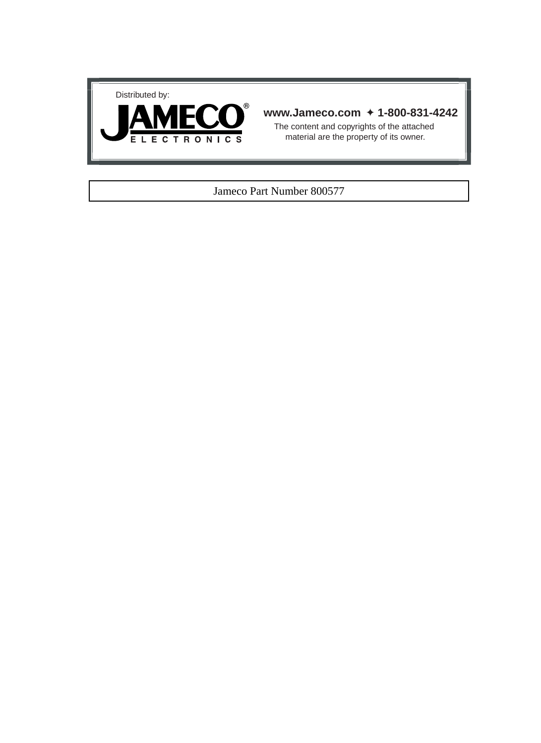



#### **www.Jameco.com** ✦ **1-800-831-4242**

The content and copyrights of the attached material are the property of its owner.

#### Jameco Part Number 800577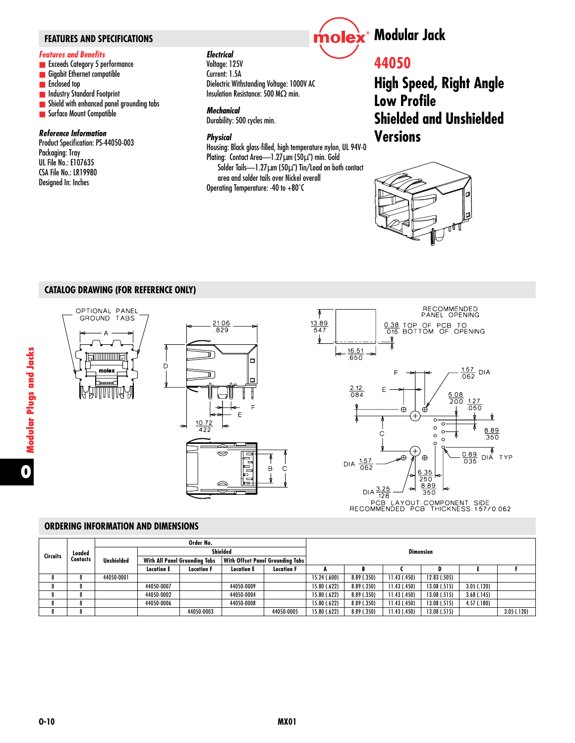#### *Features and Benefits*

- Exceeds Category 5 performance
- Gigabit Ethernet compatible
- Enclosed top
- Industry Standard Footprint
- Shield with enhanced panel grounding tabs
- Surface Mount Compatible

#### *Reference Information*

Product Specification: PS-44050-003 Packaging: Tray UL File No.: E107635 CSA File No.: LR19980 Designed In: Inches

#### *Electrical*

Voltage: 125V Current: 1.5A Dielectric Withstanding Voltage: 1000V AC Insulation Resistance: 500 MΩ min.

#### *Mechanical*

Durability: 500 cycles min.

#### *Physical*

Housing: Black glass-filled, high temperature nylon, UL 94V-0 Plating: Contact Area—1.27µm (50µ") min. Gold Solder Tails- $-1.27\mu$ m (50 $\mu$ ") Tin/Lead on both contact area and solder tails over Nickel overall Operating Temperature: -40 to +80˚C



### **44050**

**High Speed, Right Angle Low Profile Shielded and Unshielded Versions**



#### **CATALOG DRAWING (FOR REFERENCE ONLY)**



**ORDERING INFORMATION AND DIMENSIONS**

| <b>Circuits</b> |          | Order No.  |                                      |                   |                                  |                   |              |             |              |              |               |             |
|-----------------|----------|------------|--------------------------------------|-------------------|----------------------------------|-------------------|--------------|-------------|--------------|--------------|---------------|-------------|
|                 | Loaded   |            | Shielded                             |                   | <b>Dimension</b>                 |                   |              |             |              |              |               |             |
|                 | Contacts | Unshielded | <b>With All Panel Groundina Tabs</b> |                   | With Offset Panel Groundina Tabs |                   |              |             |              |              |               |             |
|                 |          |            | <b>Location E</b>                    | <b>Location F</b> | <b>Location E</b>                | <b>Location F</b> |              |             |              | Đ            |               |             |
|                 |          | 44050-0001 |                                      |                   |                                  |                   | 15.24 (.600) | 8.89 (.350) | 11.43 (.450) | 12.83 (.505) |               |             |
|                 |          |            | 44050-0007                           |                   | 44050-0009                       |                   | 15.80 (.622) | 8.89 (.350) | 11.43 (.450) | 13.08 (.515) | 3.05(0.120)   |             |
|                 |          |            | 44050-0002                           |                   | 44050-0004                       |                   | 15.80 (.622) | 8.89 (.350) | 11.43 (.450) | 13.08 (.515) | $3.68$ (.145) |             |
|                 |          |            | 44050-0006                           |                   | 44050-0008                       |                   | 15.80 (.622) | 8.89 (.350) | 11.43 (.450) | 13.08 (.515) | 4.57(.180)    |             |
|                 |          |            |                                      | 44050-0003        |                                  | 44050-0005        | 15.80 (.622) | 8.89 (.350) | 11.43 (.450) | 13.08 (.515) |               | 3.05( .120) |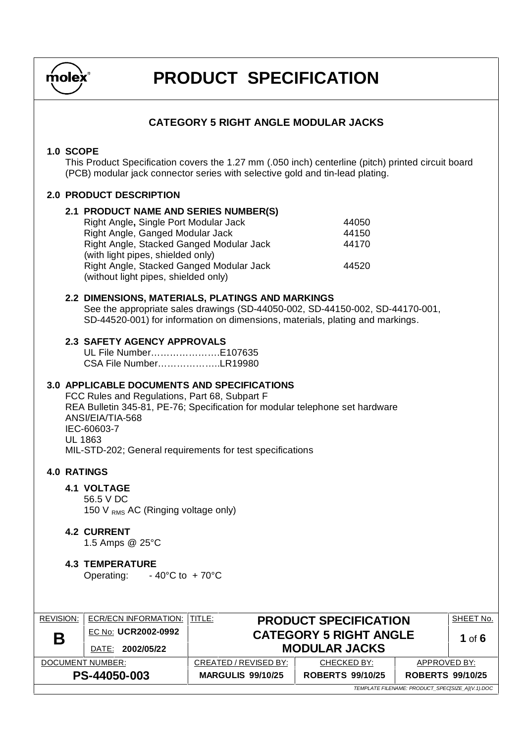

### **CATEGORY 5 RIGHT ANGLE MODULAR JACKS**

#### **1.0 SCOPE**

This Product Specification covers the 1.27 mm (.050 inch) centerline (pitch) printed circuit board (PCB) modular jack connector series with selective gold and tin-lead plating.

#### **2.0 PRODUCT DESCRIPTION**

| 2.1 PRODUCT NAME AND SERIES NUMBER(S)    |       |
|------------------------------------------|-------|
| Right Angle, Single Port Modular Jack    | 44050 |
| Right Angle, Ganged Modular Jack         | 44150 |
| Right Angle, Stacked Ganged Modular Jack | 44170 |
| (with light pipes, shielded only)        |       |
| Right Angle, Stacked Ganged Modular Jack | 44520 |
| (without light pipes, shielded only)     |       |

#### **2.2 DIMENSIONS, MATERIALS, PLATINGS AND MARKINGS**

See the appropriate sales drawings (SD-44050-002, SD-44150-002, SD-44170-001, SD-44520-001) for information on dimensions, materials, plating and markings.

#### **2.3 SAFETY AGENCY APPROVALS**

UL File Number…………………. E107635 CSA File Number………………..LR19980

#### **3.0 APPLICABLE DOCUMENTS AND SPECIFICATIONS**

FCC Rules and Regulations, Part 68, Subpart F REA Bulletin 345-81, PE-76; Specification for modular telephone set hardware ANSI/EIA/TIA-568 IEC-60603-7 UL 1863 MIL-STD-202; General requirements for test specifications

#### **4.0 RATINGS**

#### **4.1 VOLTAGE**

56.5 V DC 150 V  $_{RMS}$  AC (Ringing voltage only)

#### **4.2 CURRENT**

1.5 Amps @ 25°C

#### **4.3 TEMPERATURE**  Operating: - 40°C to + 70°C

| <b>REVISION:</b>                                 | ECR/ECN INFORMATION:   TITLE: |                          | <b>PRODUCT SPECIFICATION</b>                       |              | SHEET No. |
|--------------------------------------------------|-------------------------------|--------------------------|----------------------------------------------------|--------------|-----------|
| Β                                                | EC No: UCR2002-0992           |                          | <b>CATEGORY 5 RIGHT ANGLE</b>                      |              | 1 of $6$  |
|                                                  | DATE: 2002/05/22              |                          | <b>MODULAR JACKS</b>                               |              |           |
| DOCUMENT NUMBER:                                 |                               | CREATED / REVISED BY:    | CHECKED BY:                                        | APPROVED BY: |           |
| PS-44050-003                                     |                               | <b>MARGULIS 99/10/25</b> | <b>ROBERTS 99/10/25</b><br><b>ROBERTS 99/10/25</b> |              |           |
| TEMPLATE FILENAME: PRODUCT_SPEC[SIZE_A](V.1).DOC |                               |                          |                                                    |              |           |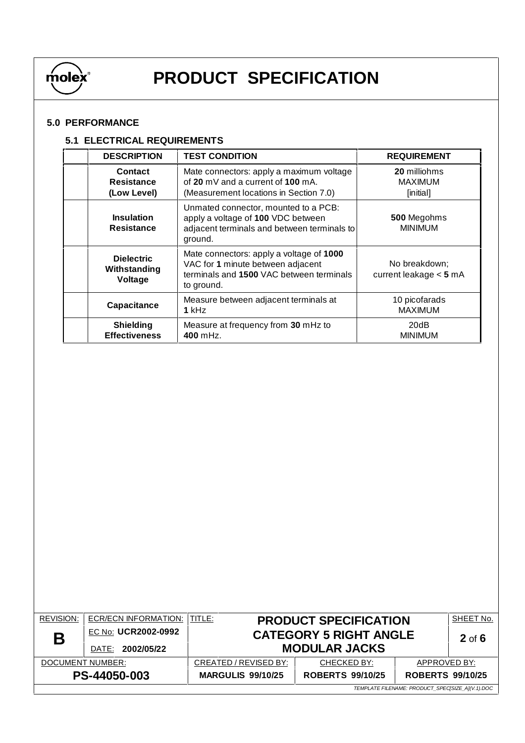

### **5.0 PERFORMANCE**

#### **5.1 ELECTRICAL REQUIREMENTS**

| <b>DESCRIPTION</b>                           | <b>TEST CONDITION</b>                                                                                                                   | <b>REQUIREMENT</b>                          |
|----------------------------------------------|-----------------------------------------------------------------------------------------------------------------------------------------|---------------------------------------------|
| <b>Contact</b><br>Resistance<br>(Low Level)  | Mate connectors: apply a maximum voltage<br>of 20 mV and a current of 100 mA.<br>(Measurement locations in Section 7.0)                 | 20 milliohms<br><b>MAXIMUM</b><br>[initial] |
| <b>Insulation</b><br>Resistance              | Unmated connector, mounted to a PCB:<br>apply a voltage of 100 VDC between<br>adjacent terminals and between terminals to<br>ground.    | 500 Megohms<br><b>MINIMUM</b>               |
| <b>Dielectric</b><br>Withstanding<br>Voltage | Mate connectors: apply a voltage of 1000<br>VAC for 1 minute between adjacent<br>terminals and 1500 VAC between terminals<br>to ground. | No breakdown;<br>current leakage $<$ 5 mA   |
| <b>Capacitance</b>                           | Measure between adjacent terminals at<br>1 kHz                                                                                          | 10 picofarads<br><b>MAXIMUM</b>             |
| <b>Shielding</b><br><b>Effectiveness</b>     | Measure at frequency from 30 mHz to<br>400 mHz.                                                                                         | 20dB<br><b>MINIMUM</b>                      |

| <b>REVISION:</b>                                 | ECR/ECN INFORMATION:   TITLE: |                          | <b>PRODUCT SPECIFICATION</b>  |                         | SHEET No. |
|--------------------------------------------------|-------------------------------|--------------------------|-------------------------------|-------------------------|-----------|
| Β                                                | EC No: UCR2002-0992           |                          | <b>CATEGORY 5 RIGHT ANGLE</b> |                         | $2$ of 6  |
|                                                  | DATE: 2002/05/22              |                          | <b>MODULAR JACKS</b>          |                         |           |
| DOCUMENT NUMBER:                                 |                               | CREATED / REVISED BY:    | CHECKED BY:                   | APPROVED BY:            |           |
| PS-44050-003                                     |                               | <b>MARGULIS 99/10/25</b> | <b>ROBERTS 99/10/25</b>       | <b>ROBERTS 99/10/25</b> |           |
| TEMPLATE FILENAME: PRODUCT SPECISIZE A](V.1).DOC |                               |                          |                               |                         |           |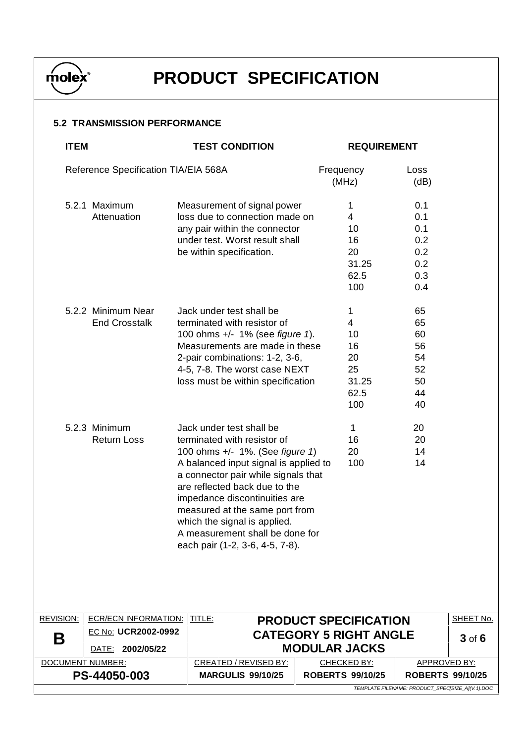

### **5.2 TRANSMISSION PERFORMANCE**

| <b>ITEM</b>      |                                            | <b>TEST CONDITION</b>                                                                                                                                                                                                                                                                                                                                                                |                                                       | <b>REQUIREMENT</b>                                             |                                                      |            |
|------------------|--------------------------------------------|--------------------------------------------------------------------------------------------------------------------------------------------------------------------------------------------------------------------------------------------------------------------------------------------------------------------------------------------------------------------------------------|-------------------------------------------------------|----------------------------------------------------------------|------------------------------------------------------|------------|
|                  | Reference Specification TIA/EIA 568A       |                                                                                                                                                                                                                                                                                                                                                                                      | Frequency<br>(MHz)                                    |                                                                | Loss<br>(dB)                                         |            |
|                  | 5.2.1 Maximum<br>Attenuation               | Measurement of signal power<br>loss due to connection made on<br>any pair within the connector<br>under test. Worst result shall<br>be within specification.                                                                                                                                                                                                                         | 1                                                     | $\overline{4}$<br>10<br>16<br>20<br>31.25<br>62.5<br>100       | 0.1<br>0.1<br>0.1<br>0.2<br>0.2<br>0.2<br>0.3<br>0.4 |            |
|                  | 5.2.2 Minimum Near<br><b>End Crosstalk</b> | Jack under test shall be<br>terminated with resistor of<br>100 ohms +/- 1% (see figure 1).<br>Measurements are made in these<br>2-pair combinations: 1-2, 3-6,<br>4-5, 7-8. The worst case NEXT<br>loss must be within specification                                                                                                                                                 | 1                                                     | $\overline{4}$<br>10<br>16<br>20<br>25<br>31.25<br>62.5<br>100 | 65<br>65<br>60<br>56<br>54<br>52<br>50<br>44<br>40   |            |
|                  | 5.2.3 Minimum<br><b>Return Loss</b>        | Jack under test shall be<br>terminated with resistor of<br>100 ohms +/- 1%. (See figure 1)<br>A balanced input signal is applied to<br>a connector pair while signals that<br>are reflected back due to the<br>impedance discontinuities are<br>measured at the same port from<br>which the signal is applied.<br>A measurement shall be done for<br>each pair (1-2, 3-6, 4-5, 7-8). |                                                       | $\mathbf 1$<br>16<br>20<br>100                                 | 20<br>20<br>14<br>14                                 |            |
| <b>REVISION:</b> | <b>ECR/ECN INFORMATION:</b>                | TITLE:                                                                                                                                                                                                                                                                                                                                                                               | <b>PRODUCT SPECIFICATION</b>                          |                                                                |                                                      | SHEET No.  |
| Β                | EC No: UCR2002-0992<br>DATE: 2002/05/22    |                                                                                                                                                                                                                                                                                                                                                                                      | <b>CATEGORY 5 RIGHT ANGLE</b><br><b>MODULAR JACKS</b> |                                                                |                                                      | $3$ of $6$ |
|                  | DOCUMENT NUMBER:                           | CREATED / REVISED BY:                                                                                                                                                                                                                                                                                                                                                                | CHECKED BY:                                           |                                                                | <b>APPROVED BY:</b>                                  |            |
|                  | PS-44050-003                               | <b>MARGULIS 99/10/25</b>                                                                                                                                                                                                                                                                                                                                                             | <b>ROBERTS 99/10/25</b>                               |                                                                | <b>ROBERTS 99/10/25</b>                              |            |
|                  |                                            |                                                                                                                                                                                                                                                                                                                                                                                      |                                                       |                                                                |                                                      |            |

TEMPLATE FILENAME: PRODUCT\_SPEC[SIZE\_A](V.1).DOC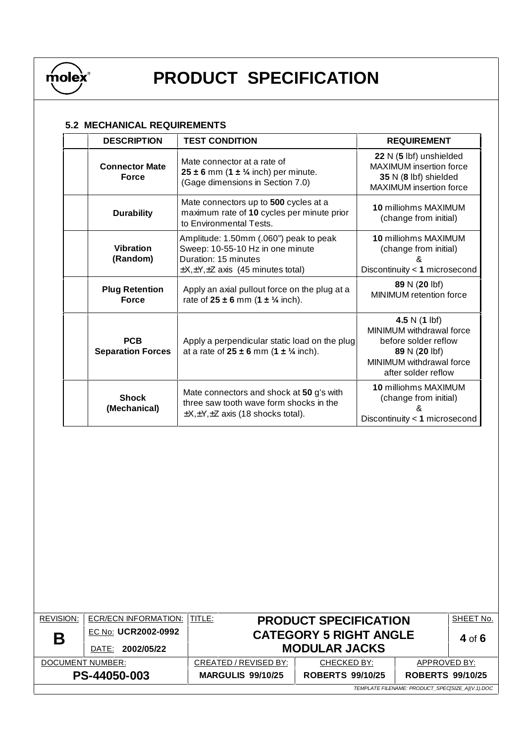

### **5.2 MECHANICAL REQUIREMENTS**

| <b>DESCRIPTION</b>                     | <b>TEST CONDITION</b>                                                                                                                                   | <b>REQUIREMENT</b>                                                                                                                              |
|----------------------------------------|---------------------------------------------------------------------------------------------------------------------------------------------------------|-------------------------------------------------------------------------------------------------------------------------------------------------|
| <b>Connector Mate</b><br><b>Force</b>  | Mate connector at a rate of<br>$25 \pm 6$ mm (1 $\pm$ 1/4 inch) per minute.<br>(Gage dimensions in Section 7.0)                                         | 22 N (5 lbf) unshielded<br><b>MAXIMUM</b> insertion force<br>35 N (8 lbf) shielded<br><b>MAXIMUM</b> insertion force                            |
| <b>Durability</b>                      | Mate connectors up to 500 cycles at a<br>maximum rate of 10 cycles per minute prior<br>to Environmental Tests.                                          | 10 milliohms MAXIMUM<br>(change from initial)                                                                                                   |
| <b>Vibration</b><br>(Random)           | Amplitude: 1.50mm (.060") peak to peak<br>Sweep: 10-55-10 Hz in one minute<br>Duration: 15 minutes<br>$\pm$ X, $\pm$ Y, $\pm$ Z axis (45 minutes total) | <b>10 milliohms MAXIMUM</b><br>(change from initial)<br>8<br>Discontinuity < 1 microsecond                                                      |
| <b>Plug Retention</b><br><b>Force</b>  | Apply an axial pullout force on the plug at a<br>rate of $25 \pm 6$ mm $(1 \pm \frac{1}{4}$ inch).                                                      | 89 N (20 lbf)<br>MINIMUM retention force                                                                                                        |
| <b>PCB</b><br><b>Separation Forces</b> | Apply a perpendicular static load on the plug<br>at a rate of $25 \pm 6$ mm $(1 \pm \frac{1}{4}$ inch).                                                 | 4.5 N $(1 \text{ lbf})$<br>MINIMUM withdrawal force<br>before solder reflow<br>89 N (20 lbf)<br>MINIMUM withdrawal force<br>after solder reflow |
| <b>Shock</b><br>(Mechanical)           | Mate connectors and shock at 50 g's with<br>three saw tooth wave form shocks in the<br>$\pm X, \pm Y, \pm Z$ axis (18 shocks total).                    | <b>10 milliohms MAXIMUM</b><br>(change from initial)<br>Discontinuity < 1 microsecond                                                           |

| <b>REVISION:</b> | <b>ECR/ECN INFORMATION:</b>                      | I TITLE:                 | <b>PRODUCT SPECIFICATION</b>                       |              | SHEET No. |  |
|------------------|--------------------------------------------------|--------------------------|----------------------------------------------------|--------------|-----------|--|
| Β                | EC No: UCR2002-0992                              |                          | <b>CATEGORY 5 RIGHT ANGLE</b>                      |              |           |  |
|                  | DATE: 2002/05/22                                 | <b>MODULAR JACKS</b>     |                                                    | 4 of $6$     |           |  |
| DOCUMENT NUMBER: |                                                  | CREATED / REVISED BY:    | CHECKED BY:                                        | APPROVED BY: |           |  |
| PS-44050-003     |                                                  | <b>MARGULIS 99/10/25</b> | <b>ROBERTS 99/10/25</b><br><b>ROBERTS 99/10/25</b> |              |           |  |
|                  | TEMPLATE FILENAME: PRODUCT_SPEC[SIZE_A](V.1).DOC |                          |                                                    |              |           |  |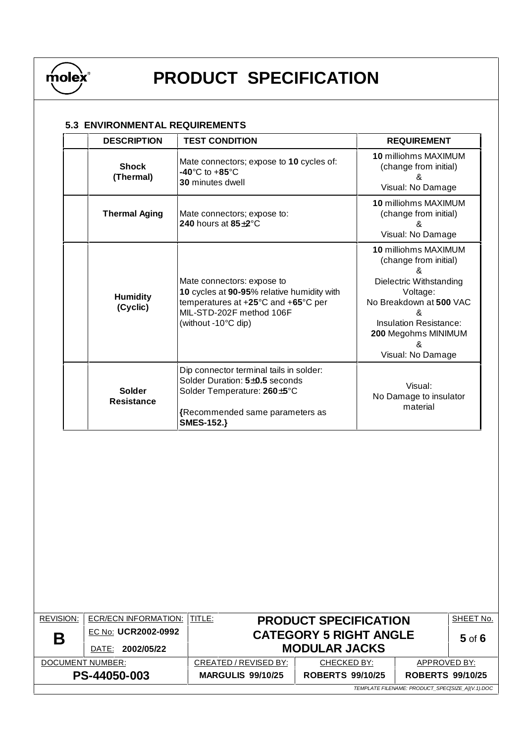

### **5.3 ENVIRONMENTAL REQUIREMENTS**

| <b>DESCRIPTION</b>          | <b>TEST CONDITION</b>                                                                                                                                              | <b>REQUIREMENT</b>                                                                                                                                                                                     |
|-----------------------------|--------------------------------------------------------------------------------------------------------------------------------------------------------------------|--------------------------------------------------------------------------------------------------------------------------------------------------------------------------------------------------------|
| <b>Shock</b><br>(Thermal)   | Mate connectors; expose to 10 cycles of:<br>$-40^{\circ}$ C to $+85^{\circ}$ C<br><b>30 minutes dwell</b>                                                          | 10 milliohms MAXIMUM<br>(change from initial)<br>&<br>Visual: No Damage                                                                                                                                |
| <b>Thermal Aging</b>        | Mate connectors; expose to:<br>240 hours at $85\pm2^{\circ}$ C                                                                                                     | 10 milliohms MAXIMUM<br>(change from initial)<br>&<br>Visual: No Damage                                                                                                                                |
| <b>Humidity</b><br>(Cyclic) | Mate connectors: expose to<br>10 cycles at 90-95% relative humidity with<br>temperatures at +25°C and +65°C per<br>MIL-STD-202F method 106F<br>(without -10°C dip) | 10 milliohms MAXIMUM<br>(change from initial)<br>Dielectric Withstanding<br>Voltage:<br>No Breakdown at 500 VAC<br>&<br><b>Insulation Resistance:</b><br>200 Megohms MINIMUM<br>&<br>Visual: No Damage |
| <b>Solder</b><br>Resistance | Dip connector terminal tails in solder:<br>Solder Duration: 5±0.5 seconds<br>Solder Temperature: 260±5°C<br>{Recommended same parameters as<br><b>SMES-152.}</b>   | Visual:<br>No Damage to insulator<br>material                                                                                                                                                          |

| <b>REVISION:</b>                                 | ECR/ECN INFORMATION:                       | TITLE:                                                | <b>PRODUCT SPECIFICATION</b>                       |              | SHEET No. |
|--------------------------------------------------|--------------------------------------------|-------------------------------------------------------|----------------------------------------------------|--------------|-----------|
| Β                                                | EC No: UCR2002-0992<br>2002/05/22<br>DATE: | <b>CATEGORY 5 RIGHT ANGLE</b><br><b>MODULAR JACKS</b> |                                                    | $5$ of $6$   |           |
| DOCUMENT NUMBER:                                 |                                            | CREATED / REVISED BY:                                 | CHECKED BY:                                        | APPROVED BY: |           |
| PS-44050-003                                     |                                            | <b>MARGULIS 99/10/25</b>                              | <b>ROBERTS 99/10/25</b><br><b>ROBERTS 99/10/25</b> |              |           |
| TEMPLATE FILENAME: PRODUCT SPECISIZE AI(V.1).DOC |                                            |                                                       |                                                    |              |           |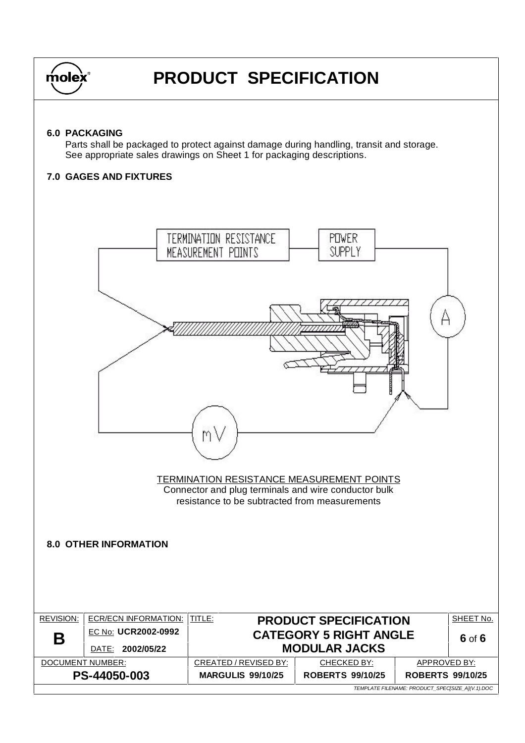

#### **6.0 PACKAGING**

Parts shall be packaged to protect against damage during handling, transit and storage. See appropriate sales drawings on Sheet 1 for packaging descriptions.

#### **7.0 GAGES AND FIXTURES**

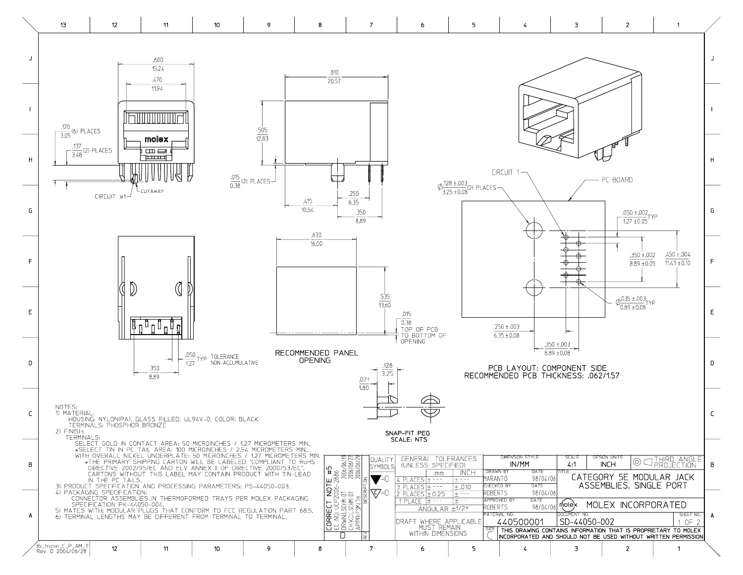